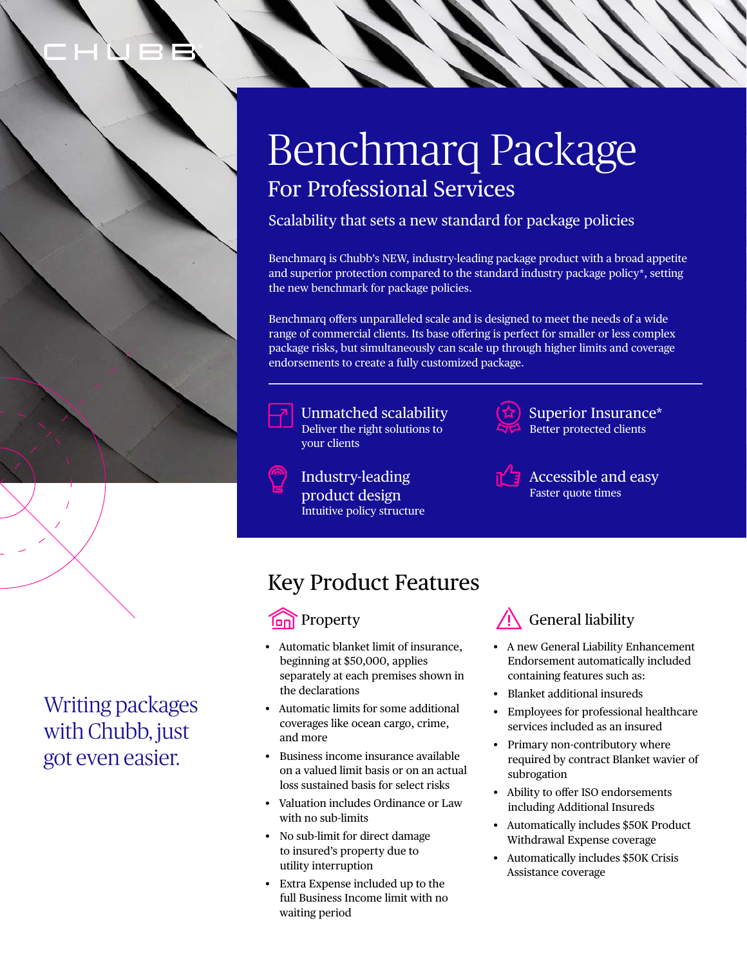

### Writing packages with Chubb, just got even easier.

# Benchmarq Package For Professional Services

Scalability that sets a new standard for package policies

Benchmarq is Chubb's NEW, industry-leading package product with a broad appetite and superior protection compared to the standard industry package policy\*, setting the new benchmark for package policies.

Benchmarq offers unparalleled scale and is designed to meet the needs of a wide range of commercial clients. Its base offering is perfect for smaller or less complex package risks, but simultaneously can scale up through higher limits and coverage endorsements to create a fully customized package.



Unmatched scalability Deliver the right solutions to your clients

Industry-leading product design Intuitive policy structure



Superior Insurance\* Better protected clients



Accessible and easy Faster quote times

## Key Product Features

#### **Represent** Property

- Automatic blanket limit of insurance, beginning at \$50,000, applies separately at each premises shown in the declarations
- Automatic limits for some additional coverages like ocean cargo, crime, and more
- Business income insurance available on a valued limit basis or on an actual loss sustained basis for select risks
- Valuation includes Ordinance or Law with no sub-limits
- No sub-limit for direct damage to insured's property due to utility interruption
- Extra Expense included up to the full Business Income limit with no waiting period



- A new General Liability Enhancement Endorsement automatically included containing features such as:
- Blanket additional insureds
- Employees for professional healthcare services included as an insured
- Primary non-contributory where required by contract Blanket wavier of subrogation
- Ability to offer ISO endorsements including Additional Insureds
- Automatically includes \$50K Product Withdrawal Expense coverage
- Automatically includes \$50K Crisis Assistance coverage